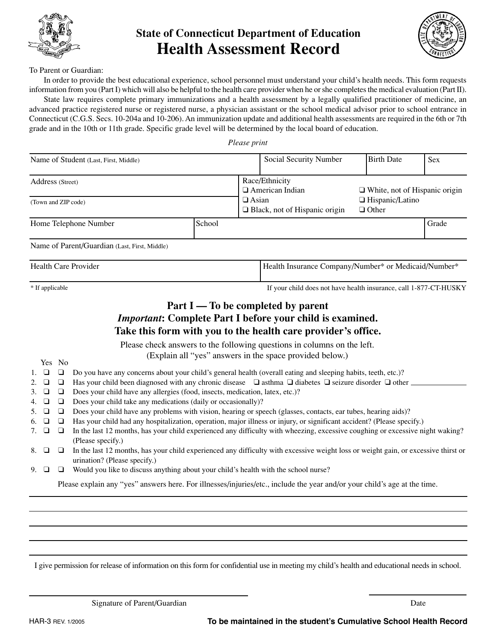

## **State of Connecticut Department of Education Health Assessment Record**



## To Parent or Guardian:

In order to provide the best educational experience, school personnel must understand your child's health needs. This form requests information from you (Part I) which will also be helpful to the health care provider when he or she completes the medical evaluation (Part II).

State law requires complete primary immunizations and a health assessment by a legally qualified practitioner of medicine, an advanced practice registered nurse or registered nurse, a physician assistant or the school medical advisor prior to school entrance in Connecticut (C.G.S. Secs. 10-204a and 10-206). An immunization update and additional health assessments are required in the 6th or 7th grade and in the 10th or 11th grade. Specific grade level will be determined by the local board of education.

*Please print* 

| Name of Student (Last, First, Middle)         |        |              | Social Security Number                      |                                        | <b>Birth Date</b>                    | <b>Sex</b> |
|-----------------------------------------------|--------|--------------|---------------------------------------------|----------------------------------------|--------------------------------------|------------|
|                                               |        |              |                                             |                                        |                                      |            |
| Address (Street)                              |        |              | Race/Ethnicity<br>$\square$ American Indian |                                        | $\Box$ White, not of Hispanic origin |            |
| (Town and ZIP code)                           |        | $\Box$ Asian | $\Box$ Black, not of Hispanic origin        | $\Box$ Hispanic/Latino<br>$\Box$ Other |                                      |            |
| Home Telephone Number                         | School |              |                                             |                                        |                                      | Grade      |
| Name of Parent/Guardian (Last, First, Middle) |        |              |                                             |                                        |                                      |            |

Health Care Provider **Health Insurance Company/Number\*** or Medicaid/Number\*

\* If applicable If your child does not have health insurance, call 1-877-CT-HUSKY

## **Part I — To be completed by parent**  *Important***: Complete Part I before your child is examined. Take this form with you to the health care provider's office.**

Please check answers to the following questions in columns on the left.

(Explain all "yes" answers in the space provided below.) Yes No

- 1. ❑❑ Do you have any concerns about your child's general health (overall eating and sleeping habits, teeth, etc.)?
- 2. ❑❑ Has your child been diagnosed with any chronic disease ❑ asthma ❑ diabetes ❑ seizure disorder ❑ other
- 3. ❑❑ Does your child have any allergies (food, insects, medication, latex, etc.)?
- 4. ❑❑ Does your child take any medications (daily or occasionally)?
- 5.  $\Box$  Does your child have any problems with vision, hearing or speech (glasses, contacts, ear tubes, hearing aids)?
- 6.  $\Box$  Has your child had any hospitalization, operation, major illness or injury, or significant accident? (Please specify.)
- 7. ❑❑ In the last 12 months, has your child experienced any difficulty with wheezing, excessive coughing or excessive night waking? (Please specify.)
- 8.  $\Box$  In the last 12 months, has your child experienced any difficulty with excessive weight loss or weight gain, or excessive thirst or urination? (Please specify.)
- 9. **□** □ Would you like to discuss anything about your child's health with the school nurse?

Please explain any "yes" answers here. For illnesses/injuries/etc., include the year and/or your child's age at the time.

I give permission for release of information on this form for confidential use in meeting my child's health and educational needs in school.